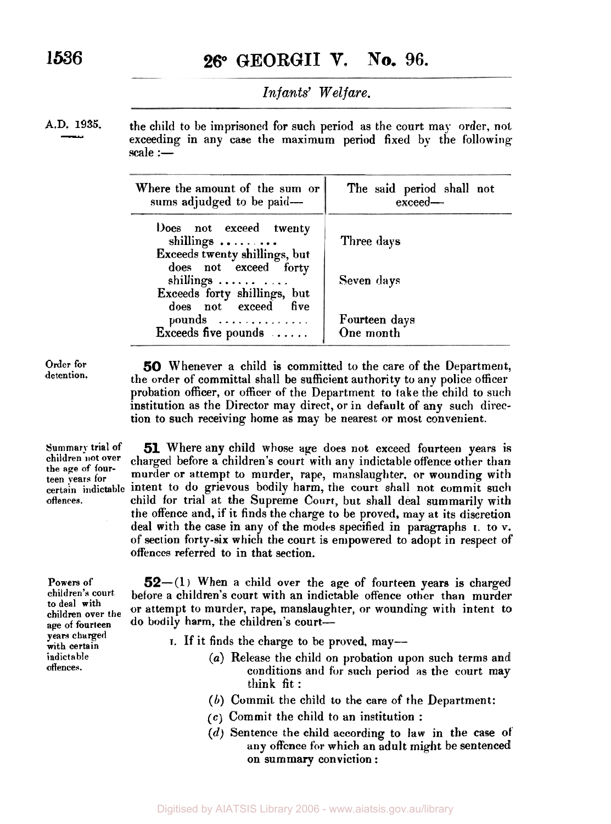**1536 26° GEORGII V. No. 96.** 

*Infants' Welfare.* 

A.D. 1935.

the child to be imprisoned for such period as the court may order, not exceeding in any case the maximum period fixed by the following scale :-

| The said period shall not<br>exceed                    |
|--------------------------------------------------------|
| Three days<br>Seven days<br>Fourteen days<br>One month |
|                                                        |

**Order for detention.** 

**Powers of children's court. to deal with children over the age of fourteen years charged with certain indict a ble offences.** 

*50* Whenever a child is committed to the care of the Department, the order of committal shall be sufficient authority to any police officer probation officer, or officer of the Department to take the child to such institution as the Director may direct, or in default of any such direction to such receiving home as may be nearest or most convenient.

**Summary trial of 51** Where any child whose age does not exceed fourteen years is children not over charged before a children's court with any indictable offence other than the age of four-<br>teen vears for murder or attempt to murder, rape, manslaughter, or wounding with murder or attempt to murder, rape, manslaughter, or wounding with **Certain indictable** intent to do grievous bodily harm, the court shall not commit such **offences.** child **for** trial at the Supreme **Court,** but shall deal summarily with the offence and, if it finds the charge to be proved, may at its discretion deal with the case in any of the modes specified in paragraphs I. to v. of section forty-six which the court is empowered to adopt in respect of offences referred to in that section.

> **52**-(1) When a child over the age of fourteen years is charged before a children's court with an indictable offence other than murder or attempt to murder, rape, manslaughter, or wounding with intent to do bodily harm, the children's court-

- **I.** If it finds the charge to he proved, may--
	- *(a)* Release the child on probation upon such terms and conditions **and** for such period as the court may think fit :
	- (6) Commit the child to the care of the Department:
	- $(c)$  Commit the child to an institution :
	- *(d)* Sentence the child according to law in the case **of**  any offence for which an adult might be sentenced on summary conviction :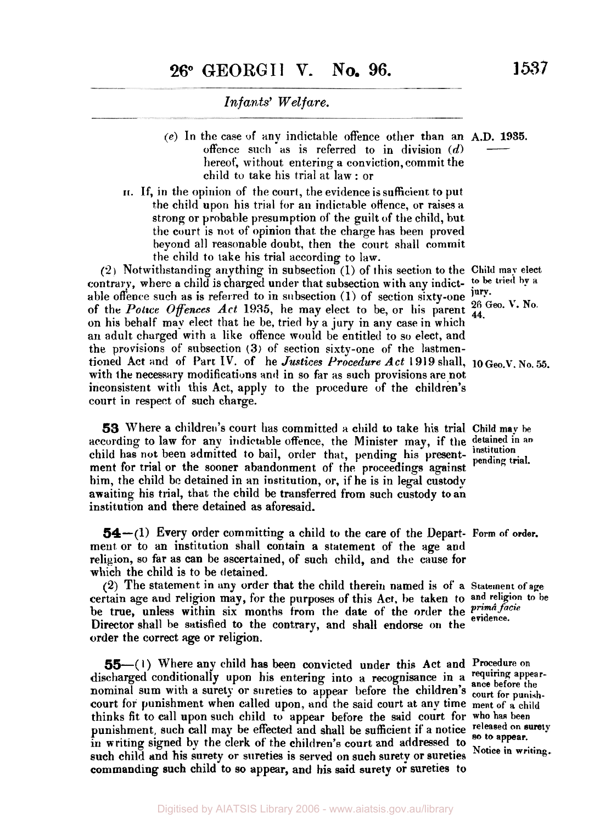- (e) In the case of any indictable offence other than an A.D. **1935.**  Infants' Welfare.<br>
he case of any indictable offence other than an A.D. 1935.<br>
offence such as is referred to in division  $(d)$ <br>
hereof, without entering a conviction, commit the hereof, without, entering a conviction, commit the child to take his trial at law: or
- **II.** If, in the opinion of the court, the evidence is sufficient to put the child upon his trial for an indictable offence, or raises a strong or probable presumption of the guilt of the child, but. the court is not of opinion that. the charge has been proved beyond all reasonable doubt, then the court shall commit the child to take his trial according to law.

*(2)* Notwitlistanding anything in subsection (1) of this section to the **Child may elect**  able offence such as is referred to in subsection  $(1)$  of section sixty-one  $j$ ury.<br>  $\epsilon$ ,  $\epsilon$ ,  $\epsilon$ ,  $\epsilon$ ,  $\epsilon$ ,  $\epsilon$ ,  $\epsilon$ ,  $\epsilon$ ,  $\epsilon$ ,  $\epsilon$ ,  $\epsilon$ ,  $\epsilon$ ,  $\epsilon$ ,  $\epsilon$ ,  $\epsilon$ ,  $\epsilon$ ,  $\epsilon$ ,  $\epsilon$ ,  $\epsilon$ ,  $\epsilon$ ,  $\epsilon$ ,  $\epsilon$ ,  $\epsilon$ of the *Police Offences Act* 1935, he may elect to be, or his parent  $\frac{26}{44}$ . on his behalf may elect that lie be, tried **by a** jury in any case in which an adult charged-with a like offence would be entitled to so elect, and the provisions of subsection **(3)** of section sixty-one of the lastmentioned Act and of Part IV. of he *Justices Procedure Act* 1919 shall, 10 Geo.V. No. 55. with the necessary modifications and in so far as such provisions are not inconsistent with this Act, apply to the procedure of the children's court in respect of such charge.

**53** Where a children's court has committed a child to take his trial **Child** may **be**  according to law for any indictable offence. the Minister may, if the **detained in an**  child has not been admitted to bail, order that, pending his present- *institution* pending trial. ment for trial or the sooner abandonment of the proceedings against him, the child be detained in an institution, or, if he is in legal custody awaiting his trial, that the child be transferred from such custody **to an**  institution and there detained as aforesaid.

**54-(1)** Every order committing a child to the care of the Depart- Form **of order.**  ment or to an institution shall contain a statement of the age and religion, so far as can be ascertained, of such child, and the cause for which the child is to be detained.

certain age **and** religion may, for the purposes of this Act, he taken to **and religion to be**  be true, unless within six months from the date of the order the *prima facie* evidence. Director shall be satisfied to the contrary, and shall endorse **on** the order the correct age or religion. **(2)** The statement in any order that the child therein named is of' a **Statement of age** 

*55 -(* **I)** Where any child has been convicted under this Act and **Procedure on**  discharged conditionally upon his entering into a recognisance in a requiring appearnominal sum with a surety or sureties to appear before the children's court for punishcourt **for** punishment when called upon, and the said court at any time **ment** of **a child**  thinks fit to call upon such child to appear before the said court for **who has been**  punishment, such call may be effected and shall be sufficient if a notice released on a in writing signed by the clerk of the children's court and addressed to **Notice** in writing.<br>
such child and his surety or sureties is served on such surety or sureties Notice in writing. commanding such child to **so** appear, and his said surety or sureties to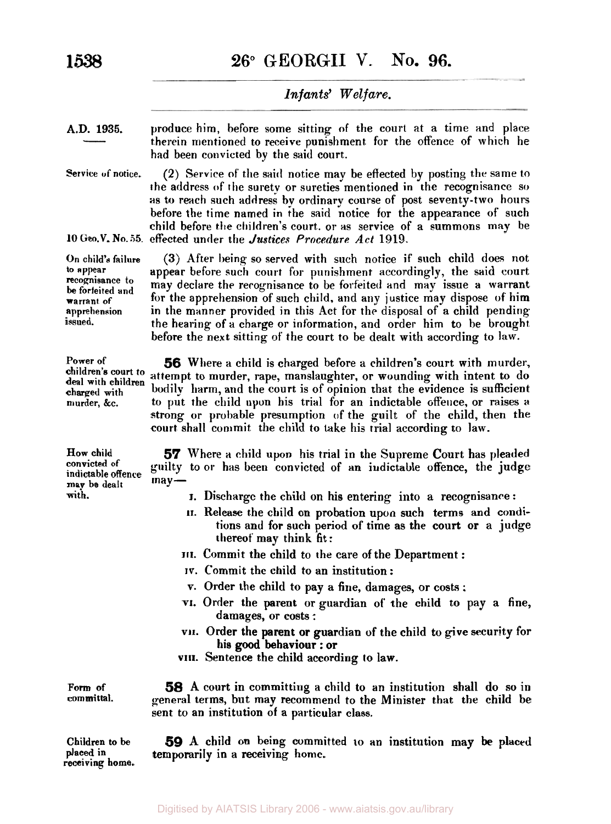**1538 26" GEORGII** v. **No. 96.** 

# *Infants' Welfare.*

**A.D. 1935.** 

Infants' Welfare.<br>
1935. Produce him, before some sitting of the court at a time and place<br>
therein mentioned to receive punishment for the offence of which he<br>
had been convicted by the said court. therein mentioned to receive punishment. for the offence of which he had been convicted by the said court.

Service of notice.

**(2)** Service **of'** the said notice may be effected by posting the same to the address of the surety or sureties mentioned in the recognisance so as to reach such address by ordinary course **of** post seventy-two hours before the time named in the said notice for the appearance of such child before the children's court. or as service of a summons may be **10 Geo.V. No.55** effected under the *Justices* Procedure Act **1919.** 

> **(3)** After being so served with such notice if such child does not appear before such court for punishment accordingly, the said court may declare the recognisance to be forfeited and may issue a warrant for the apprehension of such child, and any justice may dispose **of** him in the manner provided in this Act for the disposal of a child pending the hearing of a charge or information, and order him to he brought before the next sitting of the court to be dealt with according to law.

> *56* Where a child is charged before a children's court with murder, attempt to murder, rape, manslaughter, or wounding with intent to do bodily harm, and the court is of opinion that the evidence is sufficient to put the child upon his trial for an indictable offence, or raises a strong or probable presumption of the guilt of the child, then the court shall commit the child to take his trial according to law.

**How child convicted Of indictable offence may be dealt** may-

*57* Where a child upon his trial in the Supreme Court has pleaded guilty to or has been convicted of an iudictable offence, the judge may be dealt<br>with. I. Discharge the child on his entering into a recognisance :

- 
- **II.** Release the child on probation upon such terms and conditions and for such period of time **as** the court or a judge thereof may think fit:
- **III.** Commit the child to the care of the Department :
- **IV.** Commit the child to an institution :
- **v.** Order the child to pay a fine, damages, or costs :
- **VI.** Order the parent or guardian of' the child to pay a fine, damages, or costs :
- **VII.** Order the parent or guardian of the child to give security for **his** good behaviour : or
- **VIII.** Sentence the child according **to** law.

*58* A court in committing a child to an institution shall do so in general terms, but may recommend to the Minister that the child be sent to an institution of a particular class.

**59** A child on being committed **10** an institution may be placed temporarily in a receiving home.

**On child's failure** 

*to* **appear recognisance to be forfeited and warrant of apprehension issued.** 

**children's court** *to*  **deal with children charged with murder, &c.** 

**Power of** 

**Form of committal.** 

**Children to** be **placed in receiving home.**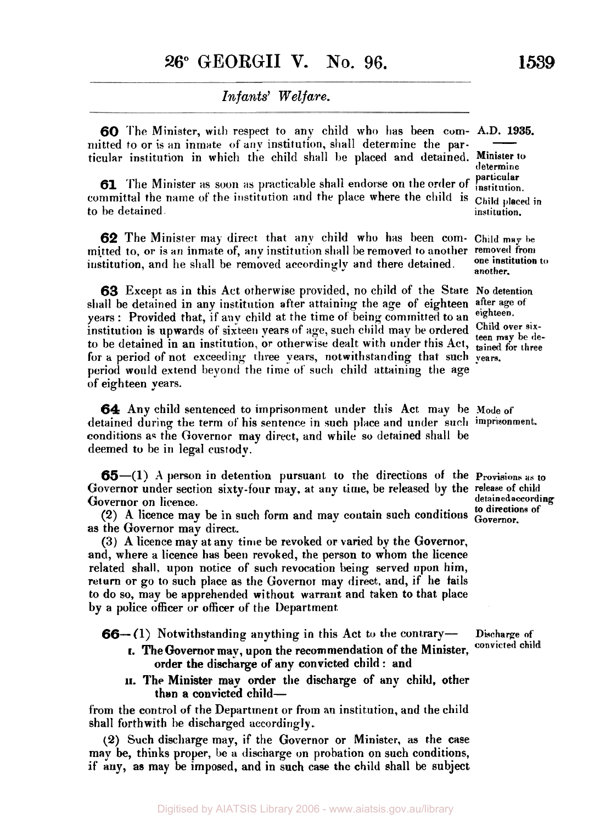*60* **The** Minister, with respect to any child who **has** been com- A.D. **1935.**  mitted to or is an inmate of **any** institution, **shall** determine the particular institution in which the child shall be placed and detained. **Minister** *to*   $\frac{1}{2}$ . 1935.

**61** The Minister as soon as practicable shall endorse on the order of committal the name of the institution **and** the place where the child is **Child placed in**  to he detained **institution.** 

**62** The Minister **may** direct that any child who has been com- **Child may be**  mitted to, or is an inmate of, any institution shall be removed to another removed from <br>institution and he shall be removed negotiatingly and there detained one institution to institution, and he shall be removed accordingly and there detained.

**63** Except as in this Act otherwise provided, no child of the State No detention all be detention any institution after attaining the age of eighteen after age of shall be detained in any institution after attaining the age of eighteen after age over a **Proprietion** of both  $\mathbf{r}$  is a proprieted **to** in eighteen. years : Provided that, if any child at the time **of** being committed to an **eighteen.**  institution is upwards of sixteen years of age, such child may be ordered Unitd over sixto be detained in an institution, or otherwise dealt with under this Act, tained for three **for a** period of not exceeding three **years,** notwithstanding that such **years.**  period would extend beyond the time **of such** child attaining the age \* of eighteen **years.** 

**64** Any child sentenced to imprisonment under this Act may be **Mode of**  detained during the term of his sentence in such place and under such **imprisonment.**  conditions as the Governor may direct, and while so detained shall be deemed **to** be in legal custody.

**65-(1) A** person in detention pursuant to the directions **of** the **Provisions as** *to*  Governor under section sixty-four may, at any time, be released by the **release** of child Governor on licence. **detained according** detained according detained according

Governor on licence.<br>
(2) A licence may be in such form and may contain such conditions to directions of<br>
Governor. as the Governor may direct.

(3) A licence may at any time be revoked or varied by the Governor, and, where a licence has been revoked, the person to whom the licence related shall. upon notice of such revocation being served upon him, return or go to such place as the Governor may direct. and, if **he** fails to do so, may be apprehended without warrant and taken **to** that place by a police officer or officer **of** the Department

**66**- **(1)** Notwithstanding anything in this Act to the contrary-

- order the discharge of any convicted child : and **t.** The Governor may, upon the recommendation of the Minister, convicted child
- than a convicted child-**II.** The Minister may order the discharge of any child, other

from the control of the Department or **from** an institution, and the child shall forthwith be discharged accordingly.

**(2)** Such discharge may, if the Governor or Minister, as the case may be, thinks proper, be a discharge on probation on such conditions, if any, as may be imposed, and in such case the child shall be subject

**determine particular** 

**another.** 

**Discharge of**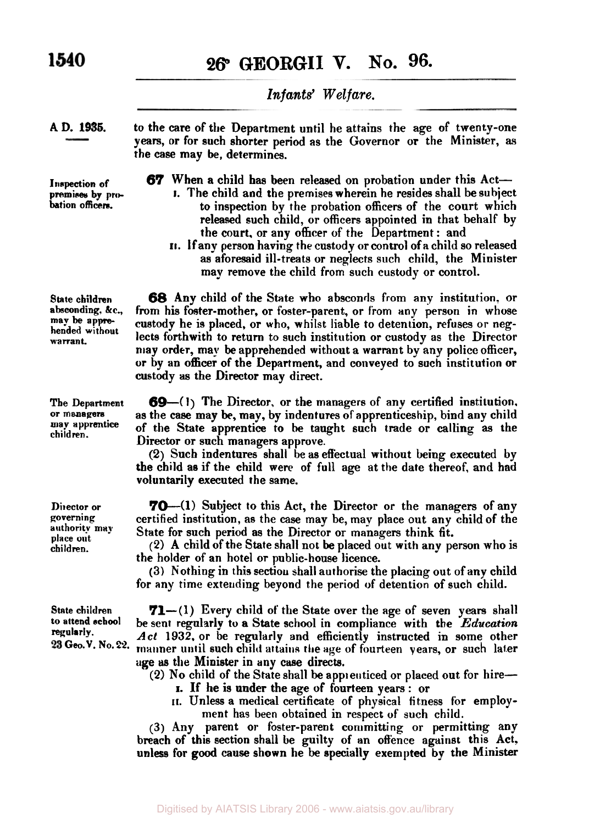**26° GEORGII V. No. 96.** 

# *Infants' Welfare.*

**AD. 1936.** 

**Inspection of premises by probation officers.** 

to the **care** of the Department until he attains the age of twenty-one **years,** or for such shorter period as the Governor or the Minister, **as**  the case may be, determines.

*67* When a child **has** been released on probation under this Act-

- I. The child and the premises wherein he resides shall be subject to inspection by the probation officers of the court which released such child, **or** officers appointed in that behalf by the court, or any officer of the Department : and
- **II.** If any person having the custody or control of *a* child so released as aforesaid ill-treats or neglects such child, the Minister may remove the child **from** such custody or control.

*68* **Any** child of the State who absconds from any institution, or from his foster-mother, or foster-parent, or from **any** person in whose custody he is placed, or who, whilst liable to detention, refuses or neglects forthwith to return to such institution or custody **as** the Director may order, may be apprehended without a warrant by any police officer, or by an officer **of** the Department, and conveyed to such institution or custody **as** the Director may direct.

*69-(1)* The Director, or the managers of any certified institution, as the case may be, may, by indentures **of** apprenticeship, bind any child of the State apprentice to **he** taught such trade or calling **as** the Director or such managers approve.

**(2)** Such indentures shall be as effectual without being executed by the child as if the child were of full age at the date thereof, and had voluntarily executed the same.

**70**—(1) Subject to this Act, the Director or the managers of any certified institution, as the case may be, may place out any child of the State for such period as the Director or managers think fit.

**(2)** A child of the State shall not be placed out with any person who is the holder of an hotel or public-house licence.

**(3)** Nothing in this section shall authorise the placing out of any child for any time extending beyond the period of detention of such child.

**71**-(1) Every child of the State over the age of seven years shall be sent regularly to a State school in compliance with the *Education Act* **1932,** or be regularly and efficiently instructed in some other **Geo.V No22.** manner until such child **attains** the **age** of fourteen years, or such later age **as** the Minister in any case directs.

**(2)** No child of the State shall be apprenticed or placed out for hire-

- I. If he is under the age of fourteen years : or
- **II.** Unless a medical certificate **of** physical fitness for employment has been obtained in respect of such child.

**(3)** Any parent **or** foster-parent committing or permitting any breach of this section shall be guilty of an offence against **this** Act. unless for **good** cause shown he be specially exempted by the Minister

**State children absconding. &c., may be apprehended without warrant.** 

**The Department or managers may apprentice children.** 

**Director or governing authority may place out children.** 

**State children to attend school regularly.**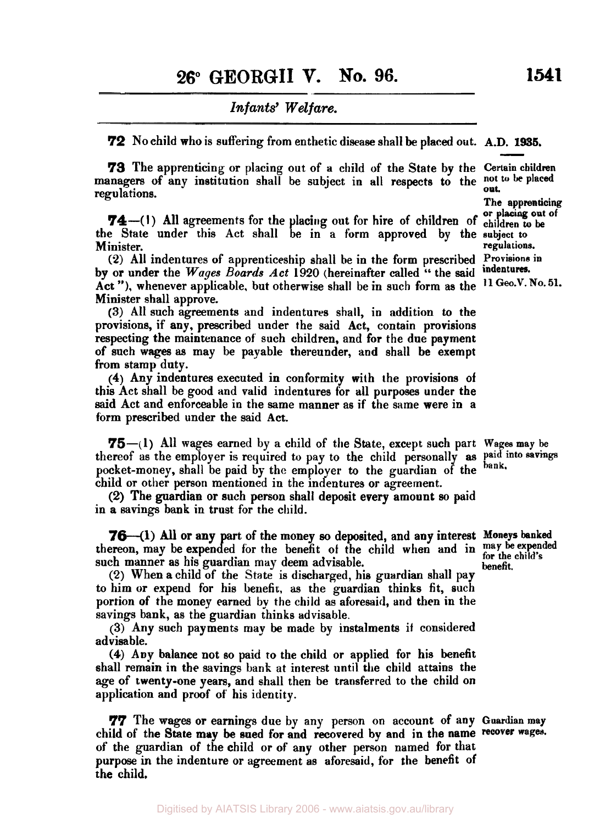*72* No child who is suffering from enthetic disease shall **be** placed out. **A.D. 1935.**  The apprenticing or placing out of a child of the State by the **Certain children**<br>
173 The apprenticing or placing out of a child of the State by the *Certain* children

managers of any institution shall be subject in all respects to the not to be placed regulations. The apprenticing

or **placing out of 74-( I)** All agreements for the placing out for hire of children of **children to be**  the State under this Act shall be in a form approved **by** the **subject to**  Minister. *regulations. regulations.* 

**(2)** All indentures of apprenticeship shall he in the form prescribed **Provisions in by or** under the Wages *Boards* Act 1920 (hereinafter called " the said Act "), whenever applicable, but otherwise shall be in such form as the **II Geo. V. No. 51.**  Minister shall approve.

**(3)** All such agreements and indentures shall, in addition to the provisions, if any, prescribed under the said Act, contain provisions respecting the maintenance of such children, and for the due payment of such **wages as** may be payable thereunder, **and** shall be exempt from **stamp** duty.

**(4)** Any indentures executed in conformity with the provisions of this Act shall be good and valid indentures for all purposes under the said Act and enforceable in the same manner as if the same were in a form prescribed under the said Act.

75--(1) All wages earned by a child of the State, except such part **Wages may** be thereof **as** the employer is required to pay to the child personally **as Paid into savings** pocket-money, shall be paid by the employer **to** the guardian of the bank, child or other person mentioned in the indentures or agreement.

in a savings bank in trust for the child. (2) The guardian or such person shall deposit every amount *so* paid

**76**—(1) All or any part of the money so deposited, and any interest Moneys banked thereon, may be expended for the benefit of the child when and in may be expended such manner as his guardian may deem advisable.

*(2)* When a child of the State is discharged, his guardian shall pay to him **or** expend for his benefit, **as** the guardian thinks fit, such portion of the money earned by the child as aforesaid, and then in the savings bank, as the guardian thinks advisable.

**(3)** Any such payments may be made by instalments it considered advisable.

**(4)** Any balance not so paid **to** the child or applied for his benefit shall remain in the savings bank at interest until the child attains the age of twenty-one years, and shall then be transferred to the child on application and proof of his identity.

*77* The wages or earnings due by any person on account of any **Guardian may**  child of the State may be sued for and recovered by and in the name recover wages. **of** the guardian of the child or **of** any other person named for that purpose in the indenture or agreement as aforesaid, for the benefit of the child,

**benefit.**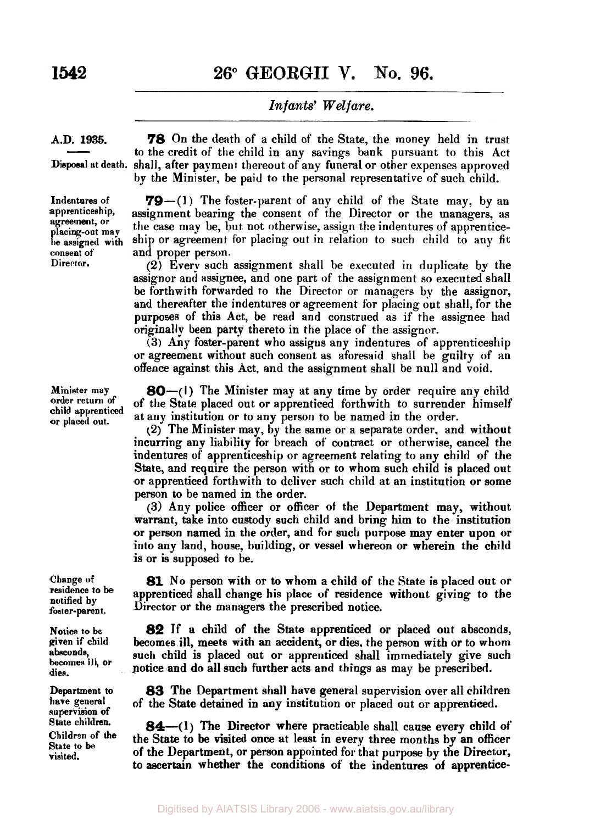**26° GEORGII V. No. 96.** 

## *Infants' Welfare.*

### **A.D. 1935.**

**Dispoeal at death.**   $\frac{1935.}{\frac{1}{200}}$ 

*78* On the death of a child of the State, the money held in trust to the credit of the child in any savings bank pursuant to this Act shall, after payment thereout of any funeral or other expenses approved **by** the Minister, be paid to the personal representative of such child.

**Indentures of apprenticeship, agreement, or placing-out may be assigned with consent of' Director.** 

**Minister may order return of child apprenticed or placed out.** 

**Change of residence to be notified by**  foster-parent.

**Notice to be given if child absconds, becomes ill, or dies.** 

**Department to have general supervision of State children. Children of the State to be visited.** 

**79**-(1) The foster-parent of any child of the State may, by an assignment bearing the consent of the Director or the managers, as the case may be, but not otherwise, assign the indentures of apprenticeship or agreement for placing out in relation to **such** child to **any** fit and proper person.

**(2)** Every such assignment shall be executed in duplicate by the assignor and assignee, and one part of the assignment so executed shall be forthwith forwarded to the Director or managers **by** the assignor, and thereafter the indentures or agreement for placing out shall, for the purposes of this Act, be read and construed as if the assignee had originally been party thereto in the place of the assignor.

**(3)** Any foster-parent who assigus any indentures of apprenticeship or agreement without such consent as aforesaid shall be guilty of an offence against this Act, and the assignment shall be null and void.

**80-(1)** The Minister may at any time by order require any child of the **State** placed out or apprenticed forthwith to surrender himself at any institution or to any person to be named in the order.

**(2)** The Minister may, **by** the same or a separate order. and without incurring any liability for breach of contract or otherwise, cancel the indentures of apprenticeship or agreement relating to any child of the State, and require the person with or to whom such child is placed out or apprenticed forthwith to deliver such child at an institution or some person to be named in the order.

**(3)** Any police officer or officer **of** the Department may, without warrant, take into custody such child and bring him to the institution or person named in the order, and for such purpose may enter upon or into any land, house, building, or vessel whereon or wherein the child is or is supposed to be.

**81** No person with or to whom a child of the State is placed out or apprenticed shall change his place of residence without giving **to** the Director or the managers the prescribed notice.

**82** If **a** child of the **State** apprenticed or placed out absconds, becomes ill, meets with an accident, or dies. the person with or to whom **such** child is placed out or apprenticed shall immediately give such potice and do all such further acts and things as may be prescribed.

**83** The Department shall have general supervision over all children of the State detained in any institution or placed out or apprenticed.

**84**—(1) The Director where practicable shall cause every child of the **State** *to* be visited **once** at least in every three months **by** an officer of the Department, or **person** appointed for that purpose **by** the Director, *to* ascertain whether the conditions of the indentures **of** apprentice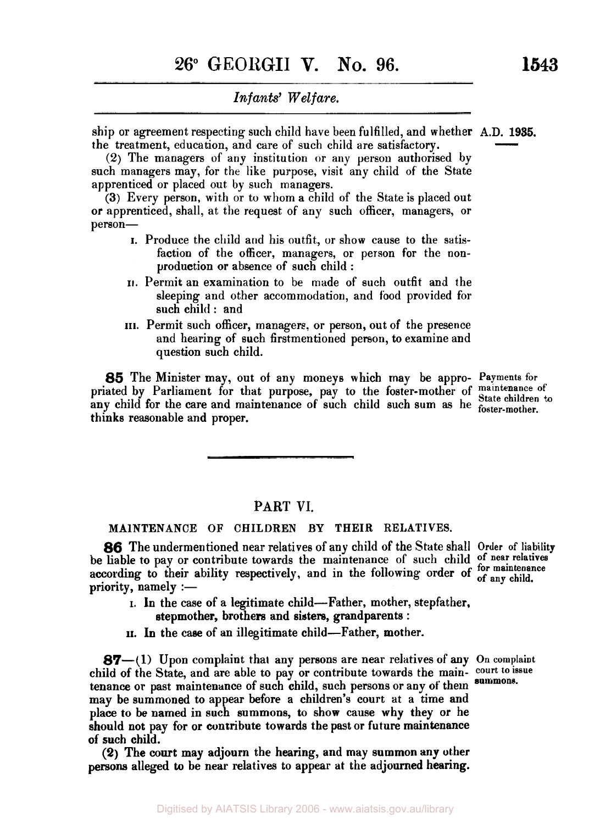ship or agreement respecting such child have been fulfilled, and whether A.D. **1935.**  Infants' Welfare.<br>
Ship or agreement respecting such child have been fulfilled, and whether A.D. 1985.<br>
the treatment, education, and care of such child are satisfactory.<br>
(2) The managers of any institution or any person

(2) The managers of any institution or any person authorised by such managers may, for the like purpose, visit any child of the State apprenticed or placed out by such managers.

**(3)** Every person, with or to whom a child of the State is placed out or apprenticed, shall, at the request of any such officer, managers, or person-

- I. Produce the child and his outfit, or show cause to the satisfaction of the officer, managers, or person for the nonproduction or absence of such child :
- **II.** Permit an examination to be made of such outfit and the sleeping and other accommodation, and food provided for such child : and
- **III.** Permit such officer, managers, or person, out of the presence and hearing of such firstmentioned person, to examine and question such child.

*85* The Minister may, out of any moneys which may be appro- **Payments** for priated by Parliament for that purpose, pay to the foster-mother of maintenance of principal for the correct or maintenance of state children to any child for the care and maintenance of such child such sum as he **place childer**. thinks reasonable and proper.

### **PART VI.**

### **MAlNTENANCE OF CHILDREN BY THEIR RELATIVES.**

**86** The undermentioned near relatives of any child of the State shall Order of liability be liable to pay or contribute towards the maintenance of such child of near relatives be hable to pay or contribute towards the maintenance or such child for maintenance according to their ability respectively, and in the following order of  $\frac{6}{100}$  any child.  $priority$ , namely :—

I. In the case of a legitimate child-Father, mother, stepfather, stepmother, brothers and sisters, grandparents :

**II. In** the *case* of an illegitimate child-Father, mother.

**87**—(1) Upon complaint that any persons are near relatives of any On complaint child **of** the State, and are able to pay or contribute towards the main- **court** *to* **issue**  tenance or past maintenance of such child, such persons or any **of** them may be summoned to appear before a children's court at a time and place to be named in such summons, to show cause why they or he should not pay for or cuntribute towards the past or future maintenance of such child.

**(2)** The **court** may adjourn the hearing, and may summon any other **persons** alleged **to** be near relatives to appear **at** the adjourned hearing.

**summons.**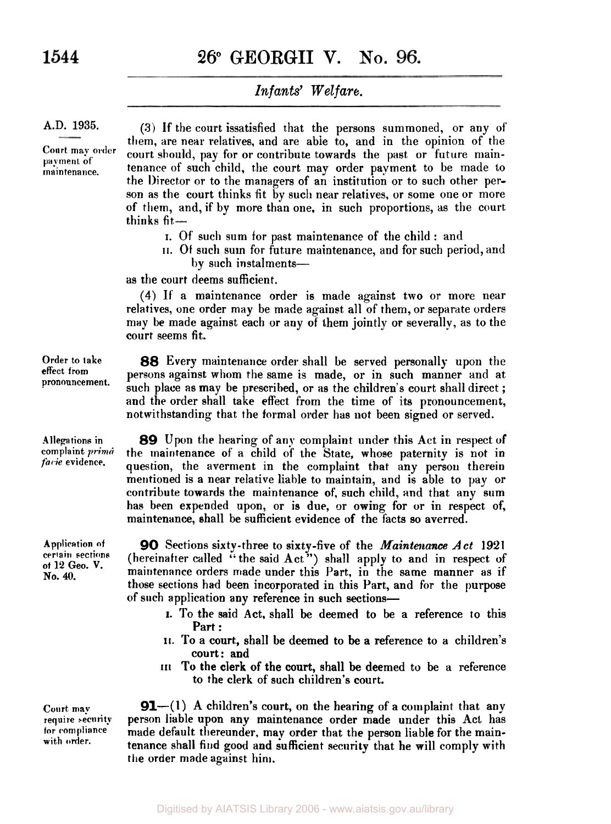# **26;" GEORGII V. NO.**

# *Infants' Welfare.*

### **A.D. 1935.**

**Court may order payment of maintenance.** 

**(3)** If the court issatisfied that the persons summoned, or any of' them, are near relatives, and are able to, and in the opinion of the court should, pay for or contribute towards the past or future maintenance of such child, the court may order payment to be made to the Director or to the managers of an institution or to such other person as the court thinks fit by such near relatives, or some one or more of them, and, if by more than one, in such proportions, as the court thinks fit-

- I. Of such sum for past maintenance of the child : and
- **II. Of** such sum for future maintenance, and for such period, and by such instalments-

as the court deems sufficient.

**(4)** If a maintenance order is made against two or more near relatives, one order may be made against all of them, or separate orders may be made against each or any of them jointly or severally, as to the court seems fit.

**Order to take effect from pronouncement.** 

**Allegations in com plaint** *prima facie* **evidence.** 

**Application of certain sections of 12** *Geo.* **V. No. 40.** 

**Court may require security for compliance with order.** 

*88* Every maintenance order shall be served personally upon the persons against whom the same is made, or in such manner and at such place as may be prescribed, or as the children's court shall direct; and the order shall take effect from the time **of** its pronouncement, notwithstanding that the formal order has **not** been signed or served.

**89** Upon the hearing of any complaint under this Act in respect of the maintenance of a child of the State, whose paternity is not in question, the averment in the complaint that any person therein mentioned is a near relative liable to maintain, and is able to pay or contribute towards the maintenance of, such child, and that any sum has been expended upon, or is due, or owing for or in respect of, maintenance, shall be sufficient evidence of the facts so averred.

**90** Sections sixty-three to sixty-five of the Maintenance *Act* **1921**  (hereinafter called "the said Act") shall apply to and in respect of maintenance orders made under this Part, in the same manner as if those sections had been incorporated in this Part, and for the purpose of such application any reference in such sections-

- I. To the said Act, shall be deemed **to** be a reference to this Part :
- **II.** To a court, shall be deemed to be a reference to a children's court: and
- **III To** the clerk of the court, shall be deemed to be a reference to the clerk of such children's court.

**91**—(1) A children's court, on the hearing of a complaint that any person liable upon **any** maintenance order made under this Act has made default thereunder, may order that the person liable for the maintenance shall find **good** and sufficient security that he will comply with the order made against **him.**